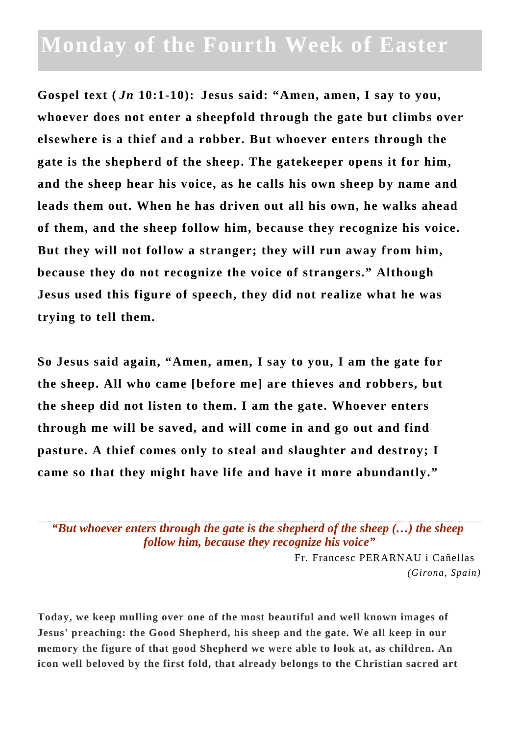## **Monday of the Fourth Week of Easter**

**Gospel text (** *Jn* **10:1-10): Jesus said: "Amen, amen, I say to you, whoever does not enter a sheepfold through the gate but climbs over elsewhere is a thief and a robber. But whoever enters through the gate is the shepherd of the sheep. The gatekeeper opens it for him, and the sheep hear his voice, as he calls his own sheep by name and leads them out. When he has driven out all his own, he walks ahead of them, and the sheep follow him, because they recognize his voice. But they will not follow a stranger; they will run away from him, because they do not recognize the voice of strangers." Although Jesus used this figure of speech, they did not realize what he was trying to tell them.**

**So Jesus said again, "Amen, amen, I say to you, I am the gate for the sheep. All who came [before me] are thieves and robbers, but the sheep did not listen to them. I am the gate. Whoever enters through me will be saved, and will come in and go out and find pasture. A thief comes only to steal and slaughter and destroy; I came so that they might have life and have it more abundantly."**

*"But whoever enters through the gate is the shepherd of the sheep (…) the sheep follow him, because they recognize his voice"*

> Fr. Francesc PERARNAU i Cañellas *(Girona, Spain)*

**Today, we keep mulling over one of the most beautiful and well known images of Jesus' preaching: the Good Shepherd, his sheep and the gate. We all keep in our memory the figure of that good Shepherd we were able to look at, as children. An icon well beloved by the first fold, that already belongs to the Christian sacred art**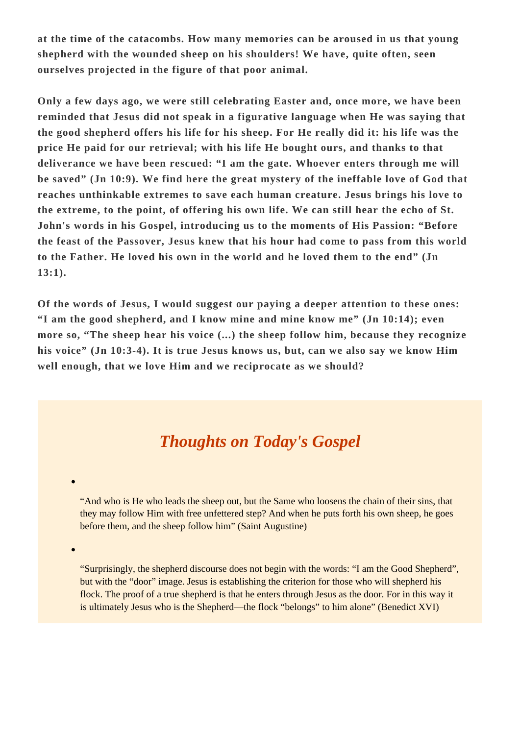**at the time of the catacombs. How many memories can be aroused in us that young shepherd with the wounded sheep on his shoulders! We have, quite often, seen ourselves projected in the figure of that poor animal.**

**Only a few days ago, we were still celebrating Easter and, once more, we have been reminded that Jesus did not speak in a figurative language when He was saying that the good shepherd offers his life for his sheep. For He really did it: his life was the price He paid for our retrieval; with his life He bought ours, and thanks to that deliverance we have been rescued: "I am the gate. Whoever enters through me will be saved" (Jn 10:9). We find here the great mystery of the ineffable love of God that reaches unthinkable extremes to save each human creature. Jesus brings his love to the extreme, to the point, of offering his own life. We can still hear the echo of St. John's words in his Gospel, introducing us to the moments of His Passion: "Before the feast of the Passover, Jesus knew that his hour had come to pass from this world to the Father. He loved his own in the world and he loved them to the end" (Jn 13:1).**

**Of the words of Jesus, I would suggest our paying a deeper attention to these ones: "I am the good shepherd, and I know mine and mine know me" (Jn 10:14); even more so, "The sheep hear his voice (...) the sheep follow him, because they recognize his voice" (Jn 10:3-4). It is true Jesus knows us, but, can we also say we know Him well enough, that we love Him and we reciprocate as we should?**

## *Thoughts on Today's Gospel*

"And who is He who leads the sheep out, but the Same who loosens the chain of their sins, that they may follow Him with free unfettered step? And when he puts forth his own sheep, he goes before them, and the sheep follow him" (Saint Augustine)

"Surprisingly, the shepherd discourse does not begin with the words: "I am the Good Shepherd", but with the "door" image. Jesus is establishing the criterion for those who will shepherd his flock. The proof of a true shepherd is that he enters through Jesus as the door. For in this way it is ultimately Jesus who is the Shepherd—the flock "belongs" to him alone" (Benedict XVI)